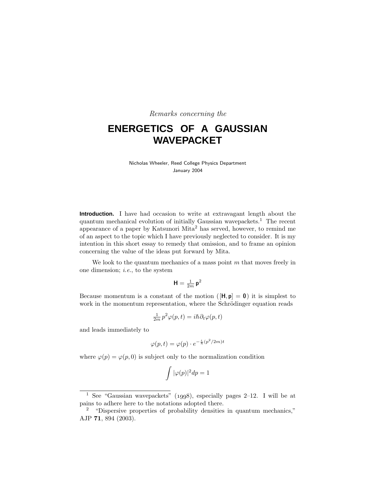Remarks concerning the

# **ENERGETICS OF A GAUSSIAN WAVEPACKET**

Nicholas Wheeler, Reed College Physics Department January 2004

**Introduction.** I have had occasion to write at extravagant length about the quantum mechanical evolution of initially Gaussian wavepackets.<sup>1</sup> The recent appearance of a paper by Katsunori Mita<sup>2</sup> has served, however, to remind me of an aspect to the topic which I have previously neglected to consider. It is my intention in this short essay to remedy that omission, and to frame an opinion concerning the value of the ideas put forward by Mita.

We look to the quantum mechanics of a mass point  $m$  that moves freely in one dimension;  $i.e.,$  to the system

$$
\mathbf{H}=\tfrac{1}{2m}\,\mathbf{p}^2
$$

Because momentum is a constant of the motion  $(|\mathbf{H}, \mathbf{p}| = 0)$  it is simplest to work in the momentum representation, where the Schrödinger equation reads

$$
\frac{1}{2m}p^2\varphi(p,t) = i\hbar\partial_t\varphi(p,t)
$$

and leads immediately to

$$
\varphi(p,t) = \varphi(p) \cdot e^{-\frac{i}{\hbar}(p^2/2m)t}
$$

where  $\varphi(p) = \varphi(p, 0)$  is subject only to the normalization condition

$$
\int |\varphi(p)|^2 dp = 1
$$

<sup>&</sup>lt;sup>1</sup> See "Gaussian wavepackets" (1998), especially pages 2–12. I will be at pains to adhere here to the notations adopted there.

<sup>&</sup>lt;sup>2</sup> "Dispersive properties of probability densities in quantum mechanics," AJP **71**,894 (2003).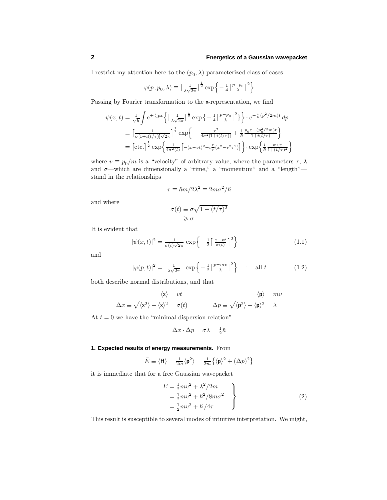I restrict my attention here to the  $(p_0, \lambda)$ -parameterized class of cases

$$
\varphi(p; p_0, \lambda) \equiv \left[\frac{1}{\lambda \sqrt{2\pi}}\right]^{\frac{1}{2}} \exp\left\{-\frac{1}{4}\left[\frac{p-p_0}{\lambda}\right]^2\right\}
$$

Passing by Fourier transformation to the **x**-representation, we find

$$
\psi(x,t) = \frac{1}{\sqrt{h}} \int e^{+\frac{i}{h}px} \left\{ \left[ \frac{1}{\lambda\sqrt{2\pi}} \right]^{\frac{1}{2}} \exp\left\{ -\frac{1}{4} \left[ \frac{p-p_0}{\lambda} \right]^2 \right\} \right\} \cdot e^{-\frac{i}{h}(p^2/2m)t} dp
$$
  
\n
$$
\equiv \left[ \frac{1}{\sigma[1+i(t/\tau)]\sqrt{2\pi}} \right]^{\frac{1}{2}} \exp\left\{ -\frac{x^2}{4\sigma^2[1+i(t/\tau)]} + \frac{i}{h} \frac{p_0 x - (p_0^2/2m)t}{1+i(t/\tau)} \right\}
$$
  
\n
$$
= \left[ \text{etc.} \right]^{\frac{1}{2}} \exp\left\{ \frac{1}{4\sigma^2(t)} \left[ -(x-vt)^2 + i\frac{t}{\tau} (x^2 - v^2 \tau^2) \right] \right\} \cdot \exp\left\{ \frac{i}{h} \frac{mvx}{1+(t/\tau)^2} \right\}
$$

where  $v \equiv p_0/m$  is a "velocity" of arbitrary value, where the parameters  $\tau$ ,  $\lambda$ and  $\sigma$ —which are dimensionally a "time," a "momentum" and a "length" stand in the relationships

$$
\tau \equiv \hbar m/2\lambda^2 \equiv 2m\sigma^2/\hbar
$$

and where

$$
\sigma(t) \equiv \sigma \sqrt{1 + (t/\tau)^2}
$$
  

$$
\geq \sigma
$$

It is evident that

$$
|\psi(x,t)|^2 = \frac{1}{\sigma(t)\sqrt{2\pi}} \exp\left\{-\frac{1}{2}\left[\frac{x-vt}{\sigma(t)}\right]^2\right\} \tag{1.1}
$$

and

$$
|\varphi(p,t)|^2 = \frac{1}{\lambda\sqrt{2\pi}} \exp\left\{-\frac{1}{2}\left[\frac{p-mv}{\lambda}\right]^2\right\} \quad \text{and} \quad t \tag{1.2}
$$

both describe normal distributions,and that

$$
\langle \mathbf{x} \rangle = vt \qquad \qquad \langle \mathbf{p} \rangle = mv
$$
  

$$
\Delta x \equiv \sqrt{\langle \mathbf{x}^2 \rangle - \langle \mathbf{x} \rangle^2} = \sigma(t) \qquad \qquad \Delta p \equiv \sqrt{\langle \mathbf{p}^2 \rangle - \langle \mathbf{p} \rangle^2} = \lambda
$$

At  $t = 0$  we have the "minimal dispersion relation"

$$
\Delta x \cdot \Delta p = \sigma \lambda = \frac{1}{2}\hbar
$$

#### **1. Expected results of energy measurements.** From

$$
\bar{E} \equiv \langle \mathbf{H} \rangle = \frac{1}{2m} \langle \mathbf{p}^2 \rangle = \frac{1}{2m} \left\{ \langle \mathbf{p} \rangle^2 + (\Delta p)^2 \right\}
$$

it is immediate that for a free Gaussian wavepacket

$$
\begin{aligned}\n\bar{E} &= \frac{1}{2}mv^2 + \lambda^2/2m \\
&= \frac{1}{2}mv^2 + \hbar^2/8m\sigma^2 \\
&= \frac{1}{2}mv^2 + \hbar/4\tau\n\end{aligned}
$$
\n(2)

This result is susceptible to several modes of intuitive interpretation. We might,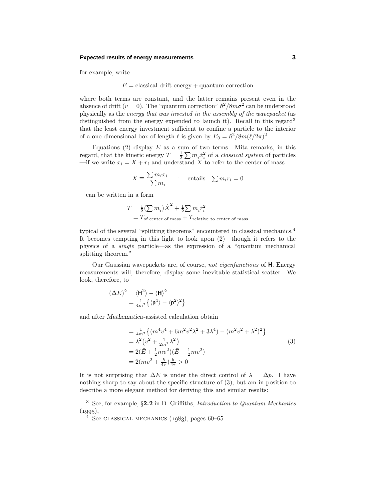#### **Expected results of energy measurements 3**

for example, write

#### $\overline{E}$  = classical drift energy + quantum correction

where both terms are constant, and the latter remains present even in the absence of drift ( $v = 0$ ). The "quantum correction"  $\hbar^2/8m\sigma^2$  can be understood physically as the energy that was *invested in the assembly of the wavepacket* (as distinguished from the energy expended to launch it). Recall in this regard<sup>3</sup> that the least energy investment sufficient to confine a particle to the interior of a one-dimensional box of length  $\ell$  is given by  $E_0 = \hbar^2/8m(\ell/2\pi)^2$ .

Equations (2) display  $\overline{E}$  as a sum of two terms. Mita remarks, in this regard, that the kinetic energy  $T = \frac{1}{2} \sum m_i \dot{x}_i^2$  of a *classical* <u>system</u> of particles —if we write  $x_i = X + r_i$  and understand X to refer to the center of mass

$$
X \equiv \frac{\sum m_i x_i}{\sum m_i} \quad : \quad \text{entails} \quad \sum m_i r_i = 0
$$

—can be written in a form

$$
T = \frac{1}{2} \left(\sum m_i\right) \dot{X}^2 + \frac{1}{2} \sum m_i \dot{r}_i^2
$$
  
=  $T_{\text{of center of mass}} + T_{\text{relative to center of mass}}$ 

typical of the several "splitting theorems" encountered in classical mechanics.<sup>4</sup> It becomes tempting in this light to look upon (2)—though it refers to the physics of a single particle—as the expression of a "quantum mechanical splitting theorem."

Our Gaussian wavepackets are, of course, not eigenfunctions of **H**. Energy measurements will, therefore, display some inevitable statistical scatter. We look, therefore, to

$$
\begin{aligned} (\Delta E)^2 &= \langle \mathbf{H}^2 \rangle - \langle \mathbf{H} \rangle^2 \\ &= \tfrac{1}{4m^2} \big\{ \langle \mathbf{p}^4 \rangle - \langle \mathbf{p}^2 \rangle^2 \big\} \end{aligned}
$$

and after *Mathematica*-assisted calculation obtain

$$
= \frac{1}{4m^2} \{ (m^4 v^4 + 6m^2 v^2 \lambda^2 + 3\lambda^4) - (m^2 v^2 + \lambda^2)^2 \}
$$
  
=  $\lambda^2 (v^2 + \frac{1}{2m^2} \lambda^2)$   
=  $2(\bar{E} + \frac{1}{2}mv^2)(\bar{E} - \frac{1}{2}mv^2)$   
=  $2(mv^2 + \frac{\hbar}{4\tau})\frac{\hbar}{4\tau} > 0$  (3)

It is not surprising that  $\Delta E$  is under the direct control of  $\lambda = \Delta p$ . I have nothing sharp to say about the specific structure of  $(3)$ , but am in position to describe a more elegant method for deriving this and similar results:

<sup>&</sup>lt;sup>3</sup> See, for example, §2.2 in D. Griffiths, *Introduction to Quantum Mechanics*  $(1995),$ 

<sup>&</sup>lt;sup>4</sup> See CLASSICAL MECHANICS  $(1983)$ , pages 60–65.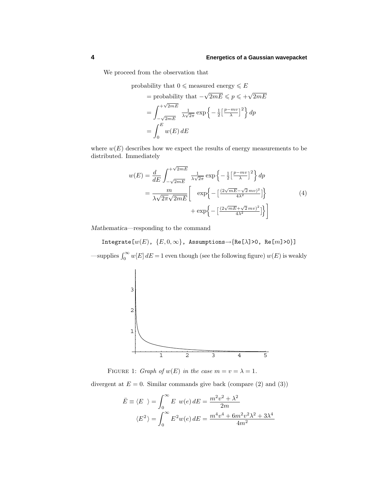We proceed from the observation that

probability that 
$$
0 \leq
$$
 measured energy  $\leq E$   
\n= probability that  $-\sqrt{2mE} \leq p \leq +\sqrt{2mE}$   
\n
$$
= \int_{-\sqrt{2mE}}^{+\sqrt{2mE}} \frac{1}{\lambda\sqrt{2\pi}} \exp\left\{-\frac{1}{2}\left[\frac{p-mv}{\lambda}\right]^2\right\} dp
$$
\n
$$
= \int_0^E w(E) dE
$$

where  $w(E)$  describes how we expect the results of energy measurements to be distributed. Immediately

$$
w(E) = \frac{d}{dE} \int_{-\sqrt{2mE}}^{+\sqrt{2mE}} \frac{1}{\lambda\sqrt{2\pi}} \exp\left\{-\frac{1}{2} \left[\frac{p-mv}{\lambda}\right]^2\right\} dp
$$
  
= 
$$
\frac{m}{\lambda\sqrt{2\pi}\sqrt{2mE}} \left[\exp\left\{-\left[\frac{(2\sqrt{mE}-\sqrt{2}mv)^2}{4\lambda^2}\right]\right\} + \exp\left\{-\left[\frac{(2\sqrt{mE}+\sqrt{2}mv)^2}{4\lambda^2}\right]\right\}\right]
$$
(4)

*Mathematica*—responding to the command

Integrate[ $w(E)$ ,  ${E, 0, \infty}$ , Assumptions $\rightarrow$ {Re[ $\lambda$ ]>0, Re[ $m$ ]>0}] —supplies  $\int_0^\infty w[E] dE = 1$  even though (see the following figure)  $w(E)$  is weakly



FIGURE 1: Graph of  $w(E)$  in the case  $m = v = \lambda = 1$ .

divergent at  $E = 0$ . Similar commands give back (compare (2) and (3))

$$
\bar{E} \equiv \langle E \rangle = \int_0^\infty E \ w(e) dE = \frac{m^2 v^2 + \lambda^2}{2m}
$$

$$
\langle E^2 \rangle = \int_0^\infty E^2 w(e) dE = \frac{m^4 v^4 + 6m^2 v^2 \lambda^2 + 3\lambda^4}{4m^2}
$$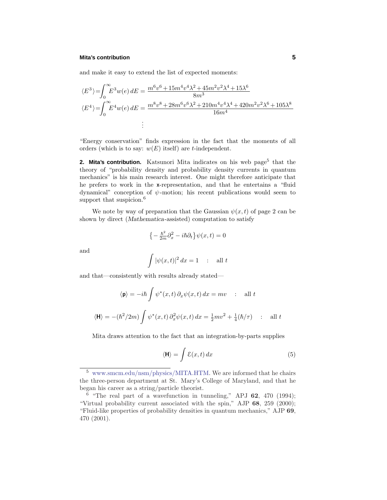and make it easy to extend the list of expected moments:

$$
\langle E^3 \rangle = \int_0^\infty E^3 w(e) \, dE = \frac{m^6 v^6 + 15m^4 v^4 \lambda^2 + 45m^2 v^2 \lambda^4 + 15\lambda^6}{8m^3}
$$
\n
$$
\langle E^4 \rangle = \int_0^\infty E^4 w(e) \, dE = \frac{m^8 v^8 + 28m^6 v^6 \lambda^2 + 210m^4 v^4 \lambda^4 + 420m^2 v^2 \lambda^6 + 105\lambda^8}{16m^4}
$$
\n
$$
\vdots
$$

"Energy conservation" finds expression in the fact that the moments of all orders (which is to say:  $w(E)$  itself) are *t*-independent.

**2. Mita's contribution.** Katsunori Mita indicates on his web page<sup>5</sup> that the theory of "probability density and probability density currents in quantum mechanics" is his main research interest. One might therefore anticipate that he prefers to work in the **x**-representation, and that he entertains a "fluid dynamical" conception of  $\psi$ -motion; his recent publications would seem to support that suspicion.<sup>6</sup>

We note by way of preparation that the Gaussian  $\psi(x, t)$  of page 2 can be shown by direct (*Mathematica*-assisted) computation to satisfy

$$
\left\{-\frac{\hbar^2}{2m}\partial_x^2 - i\hbar\partial_t\right\}\psi(x,t) = 0
$$

and

$$
\int |\psi(x,t)|^2 dx = 1 \quad : \quad \text{all } t
$$

and that—consistently with results already stated—

$$
\langle \mathbf{p} \rangle = -i\hbar \int \psi^*(x, t) \, \partial_x \psi(x, t) \, dx = mv \quad : \quad \text{all } t
$$

$$
\langle \mathbf{H} \rangle = -(\hbar^2 / 2m) \int \psi^*(x, t) \, \partial_x^2 \psi(x, t) \, dx = \frac{1}{2}mv^2 + \frac{1}{4}(\hbar/\tau) \quad : \quad \text{all } t
$$

Mita draws attention to the fact that an integration-by-parts supplies

$$
\langle \mathbf{H} \rangle = \int \mathcal{E}(x, t) \, dx \tag{5}
$$

<sup>&</sup>lt;sup>5</sup> www.smcm.edu/nsm/physics/MITA.HTM. We are informed that he chairs the three-person department at St. Mary's College of Maryland, and that he began his career as a string/particle theorist.

 $6$  "The real part of a wavefunction in tunneling," APJ  $62$ ,  $470$  (1994); "Virtual probability current associated with the spin," AJP **68**,259 (2000); "Fluid-like properties of probability densities in quantum mechanics," AJP **69**, 470 (2001).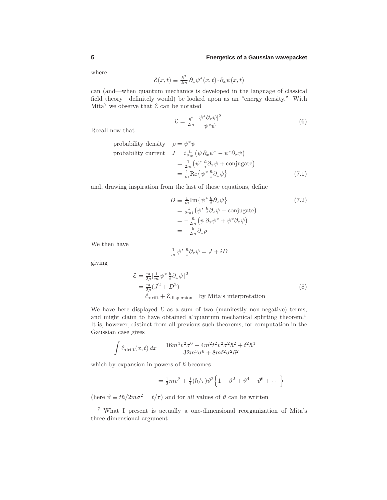where

$$
\mathcal{E}(x,t) \equiv \frac{\hbar^2}{2m} \,\partial_x \psi^*(x,t) \cdot \partial_x \psi(x,t)
$$

can (and—when quantum mechanics is developed in the language of classical field theory—definitely would) be looked upon as an "energy density." With Mita<sup>7</sup> we observe that  $\mathcal E$  can be notated

$$
\mathcal{E} = \frac{\hbar^2}{2m} \frac{|\psi^* \partial_x \psi|^2}{\psi^* \psi} \tag{6}
$$

Recall now that

probability density 
$$
\rho = \psi^* \psi
$$
  
probability current  $J = i \frac{\hbar}{2m} (\psi \partial_x \psi^* - \psi^* \partial_x \psi)$   
 $= \frac{1}{2m} (\psi^* \frac{\hbar}{i} \partial_x \psi + \text{conjugate})$   
 $= \frac{1}{m} \text{Re} {\psi^* \frac{\hbar}{i} \partial_x \psi}$  (7.1)

and, drawing inspiration from the last of those equations, define

$$
D = \frac{1}{m} \text{Im} \{ \psi^* \frac{\hbar}{i} \partial_x \psi \} = \frac{1}{2m i} (\psi^* \frac{\hbar}{i} \partial_x \psi - \text{conjugate}) = -\frac{\hbar}{2m} (\psi \partial_x \psi^* + \psi^* \partial_x \psi) = -\frac{\hbar}{2m} \partial_x \rho
$$
 (7.2)

We then have

$$
\frac{1}{m}\psi^* \frac{\hbar}{i}\partial_x \psi = J + iD
$$

giving

$$
\mathcal{E} = \frac{m}{2\rho} |\frac{1}{m} \psi^* \frac{\hbar}{i} \partial_x \psi|^2
$$
  
=  $\frac{m}{2\rho} (J^2 + D^2)$  (8)  
=  $\mathcal{E}_{\text{drift}} + \mathcal{E}_{\text{dispersion}}$  by Mita's interpretation

We have here displayed  $\mathcal E$  as a sum of two (manifestly non-negative) terms, and might claim to have obtained a"quantum mechanical splitting theorem." It is, however, distinct from all previous such theorems, for computation in the Gaussian case gives

$$
\int \mathcal{E}_{\text{drift}}(x,t) \, dx = \frac{16m^4v^2 \sigma^6 + 4m^2t^2v^2 \sigma^2 \hbar^2 + t^2 \hbar^4}{32m^3\sigma^6 + 8mt^2\sigma^2 \hbar^2}
$$

which by expansion in powers of  $\hbar$  becomes

$$
= \frac{1}{2}mv^2 + \frac{1}{4}(\hbar/\tau)\vartheta^2 \left\{ 1 - \vartheta^2 + \vartheta^4 - \vartheta^6 + \dots \right\}
$$

(here  $\vartheta \equiv t\hslash/2m\sigma^2 = t/\tau$ ) and for all values of  $\vartheta$  can be written

<sup>7</sup> What I present is actually a one-dimensional reorganization of Mita's three-dimensional argument.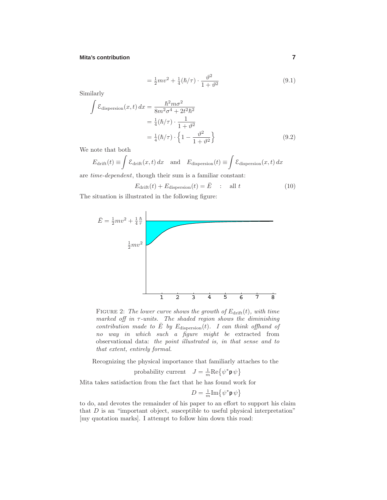$$
= \frac{1}{2}mv^2 + \frac{1}{4}(\hbar/\tau) \cdot \frac{\vartheta^2}{1+\vartheta^2}
$$
\n(9.1)

Similarly

$$
\int \mathcal{E}_{\text{dispersion}}(x, t) dx = \frac{\hbar^2 m \sigma^2}{8m^2 \sigma^4 + 2t^2 \hbar^2}
$$

$$
= \frac{1}{4} (\hbar/\tau) \cdot \frac{1}{1 + \vartheta^2}
$$

$$
= \frac{1}{4} (\hbar/\tau) \cdot \left\{ 1 - \frac{\vartheta^2}{1 + \vartheta^2} \right\}
$$
(9.2)

We note that both

$$
E_{\text{drift}}(t) \equiv \int \mathcal{E}_{\text{drift}}(x, t) dx \quad \text{and} \quad E_{\text{dispersion}}(t) \equiv \int \mathcal{E}_{\text{dispersion}}(x, t) dx
$$

are  $time-dependent$ , though their sum is a familiar constant:

 $E_{\text{drift}}(t) + E_{\text{dispersion}}(t) = \bar{E}$  : all t (10)

The situation is illustrated in the following figure:



FIGURE 2: The lower curve shows the growth of  $E_{\text{drift}}(t)$ , with time marked off in  $\tau$ -units. The shaded region shows the diminishing contribution made to  $\overline{E}$  by  $E_{\text{dispersion}}(t)$ . I can think offhand of no way in which such a figure might be extracted from observational data: the point illustrated is, in that sense and to that extent, entirely formal.

Recognizing the physical importance that familiarly attaches to the

probability current 
$$
J = \frac{1}{m} \text{Re} \{ \psi^* \mathbf{p} \psi \}
$$

Mita takes satisfaction from the fact that he has found work for

$$
D = \frac{1}{m} \text{Im} \{ \psi^* \mathbf{p} \, \psi \}
$$

to do, and devotes the remainder of his paper to an effort to support his claim that  $D$  is an "important object, susceptible to useful physical interpretation" [my quotation marks]. I attempt to follow him down this road: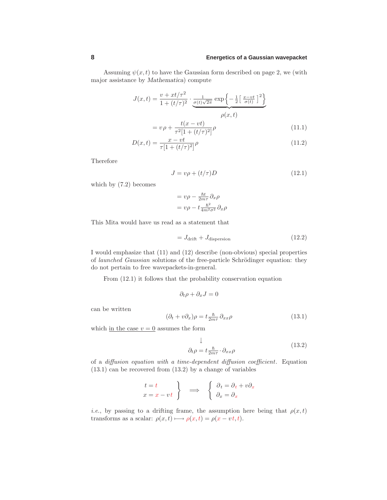Assuming  $\psi(x, t)$  to have the Gaussian form described on page 2, we (with major assistance by *Mathematica*) compute

$$
J(x,t) = \frac{v + xt/\tau^2}{1 + (t/\tau)^2} \cdot \underbrace{\frac{1}{\sigma(t)\sqrt{2\pi}} \exp\left\{-\frac{1}{2}\left[\frac{x - vt}{\sigma(t)}\right]^2\right\}}_{\rho(x,t)}
$$

$$
= v\rho + \frac{t(x - vt)}{\tau^2[1 + (t/\tau)^2]}\rho
$$
(11.1)

$$
D(x,t) = \frac{x - vt}{\tau [1 + (t/\tau)^2]} \rho \tag{11.2}
$$

Therefore

$$
J = v\rho + (t/\tau)D\tag{12.1}
$$

which by (7.2) becomes

$$
= v\rho - \frac{\hbar t}{2m\tau}\partial_x\rho
$$

$$
= v\rho - t\frac{\hbar^2}{4m^2\sigma^2}\partial_x\rho
$$

This Mita would have us read as a statement that

$$
= J_{\text{drift}} + J_{\text{dispersion}} \tag{12.2}
$$

I would emphasize that (11) and (12) describe (non-obvious) special properties of launched Gaussian solutions of the free-particle Schrödinger equation: they do not pertain to free wavepackets-in-general.

From (12.1) it follows that the probability conservation equation

$$
\partial_t \rho + \partial_x J = 0
$$

can be written

$$
(\partial_t + v\partial_x)\rho = t\frac{\hbar}{2m\tau}\partial_{xx}\rho\tag{13.1}
$$

which in the case  $v = 0$  assumes the form

$$
\downarrow
$$
  
\n
$$
\partial_t \rho = t \frac{\hbar}{2m\tau} \cdot \partial_{xx} \rho
$$
\n(13.2)

of a diffusion equation with a time-dependent diffusion coefficient. Equation (13.1) can be recovered from (13.2) by a change of variables

$$
\begin{array}{c}\nt = t \\
x = x - vt\n\end{array}\n\right\} \quad \Longrightarrow \quad \begin{cases}\n\partial_t = \partial_t + v \partial_x \\
\partial_x = \partial_x\n\end{cases}
$$

*i.e.*, by passing to a drifting frame, the assumption here being that  $\rho(x, t)$ transforms as a scalar:  $\rho(x, t) \rightarrow \rho(x, t) = \rho(x - vt, t)$ .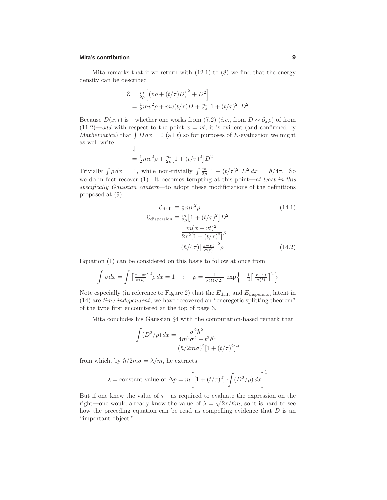Mita remarks that if we return with  $(12.1)$  to  $(8)$  we find that the energy density can be described

$$
\mathcal{E} = \frac{m}{2\rho} \Big[ \big( v\rho + (t/\tau)D \big)^2 + D^2 \Big]
$$
  
=  $\frac{1}{2}mv^2\rho + mv(t/\tau)D + \frac{m}{2\rho} \Big[ 1 + (t/\tau)^2 \Big] D^2$ 

Because  $D(x,t)$  is—whether one works from (7.2) (*i.e.*, from  $D \sim \partial_x \rho$ ) of from  $(11.2)$ —odd with respect to the point  $x = vt$ , it is evident (and confirmed by *Mathematica*) that  $\int D dx = 0$  (all t) so for purposes of E-evaluation we might as well write

$$
\downarrow
$$
  
=  $\frac{1}{2}mv^2\rho + \frac{m}{2\rho}\left[1 + (t/\tau)^2\right]D^2$ 

Trivially  $\int \rho dx = 1$ , while non-trivially  $\int \frac{m}{2\rho} \left[1 + (t/\tau)^2\right] D^2 dx = \hbar/4\tau$ . So we do in fact recover  $(1)$ . It becomes tempting at this point—at least in this specifically Gaussian context—to adopt these modificiations of the definitions proposed at (9):

$$
\mathcal{E}_{\text{drift}} \equiv \frac{1}{2} m v^2 \rho \qquad (14.1)
$$
  

$$
\mathcal{E}_{\text{dispersion}} \equiv \frac{m}{2\rho} \left[ 1 + (t/\tau)^2 \right] D^2
$$
  

$$
= \frac{m(x - vt)^2}{2\tau^2 \left[ 1 + (t/\tau)^2 \right]} \rho
$$
  

$$
= (\hbar/4\tau) \left[ \frac{x - vt}{\sigma(t)} \right]^2 \rho \qquad (14.2)
$$

Equation (1) can be considered on this basis to follow at once from

$$
\int \rho \, dx = \int \left[ \frac{x - vt}{\sigma(t)} \right]^2 \rho \, dx = 1 \quad : \quad \rho = \frac{1}{\sigma(t)\sqrt{2\pi}} \exp\left\{-\frac{1}{2}\left[\frac{x - vt}{\sigma(t)}\right]^2\right\}
$$

Note especially (in reference to Figure 2) that the  $E_{\text{drift}}$  and  $E_{\text{dispersion}}$  latent in (14) are time-independent; we have recovered an "eneregetic splitting theorem" of the type first encountered at the top of page 3.

Mita concludes his Gaussian §4 with the computation-based remark that

$$
\int (D^2/\rho) dx = \frac{\sigma^2 \hbar^2}{4m^2 \sigma^4 + t^2 \hbar^2}
$$

$$
= (\hbar/2m\sigma)^2 [1 + (t/\tau)^2]^{-1}
$$

from which, by  $\hbar/2m\sigma = \lambda/m$ , he extracts

$$
\lambda = \text{constant value of } \Delta p = m \bigg[ \left[ 1 + (t/\tau)^2 \right] \cdot \int (D^2/\rho) \, dx \bigg]^{\frac{1}{2}}
$$

But if one knew the value of  $\tau$ —as required to evaluate the expression on the right—one would already know the value of  $\lambda = \sqrt{2\tau/\hslash m}$ , so it is hard to see how the preceding equation can be read as compelling evidence that  $D$  is an "important object."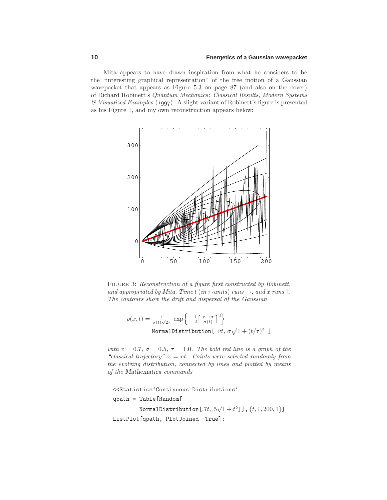Mita appears to have drawn inspiration from what he considers to be the "interesting graphical representation" of the free motion of a Gaussian wavepacket that appears as Figure 5.3 on page 87 (and also on the cover) of Richard Robinett's Quantum Mechanics: Classical Results, Modern Systems  $\mathscr$  Visualized Examples (1997). A slight variant of Robinett's figure is presented as his Figure 1, and my own reconstruction appears below:



FIGURE 3: Reconstruction of a figure first constructed by Robinett, and appropriated by Mita. Time t (in  $\tau$ -units) runs  $\rightarrow$ , and x runs  $\uparrow$ . The contours show the drift and dispersal of the Gaussian

$$
\rho(x,t) = \frac{1}{\sigma(t)\sqrt{2\pi}} \exp\left\{-\frac{1}{2}\left[\frac{x-vt}{\sigma(t)}\right]^2\right\}
$$
  
= NormalDistribution[  $vt$ ,  $\sigma\sqrt{1 + (t/\tau)^2}$  ]

with  $v = 0.7$ ,  $\sigma = 0.5$ ,  $\tau = 1.0$ . The bold red line is a graph of the "classical trajectory"  $x = vt$ . Points were selected randomly from the evolving distribution, connected by lines and plotted by means of the *Mathematica* commands

```
<<Statistics'Continuous Distributions'
qpath= Table[Random[
         NormalDistribution [.7t, .5\sqrt{1+t^2}]], \{t, 1, 200, 1\}]
ListPlot[qpath, PlotJoined→True];
```